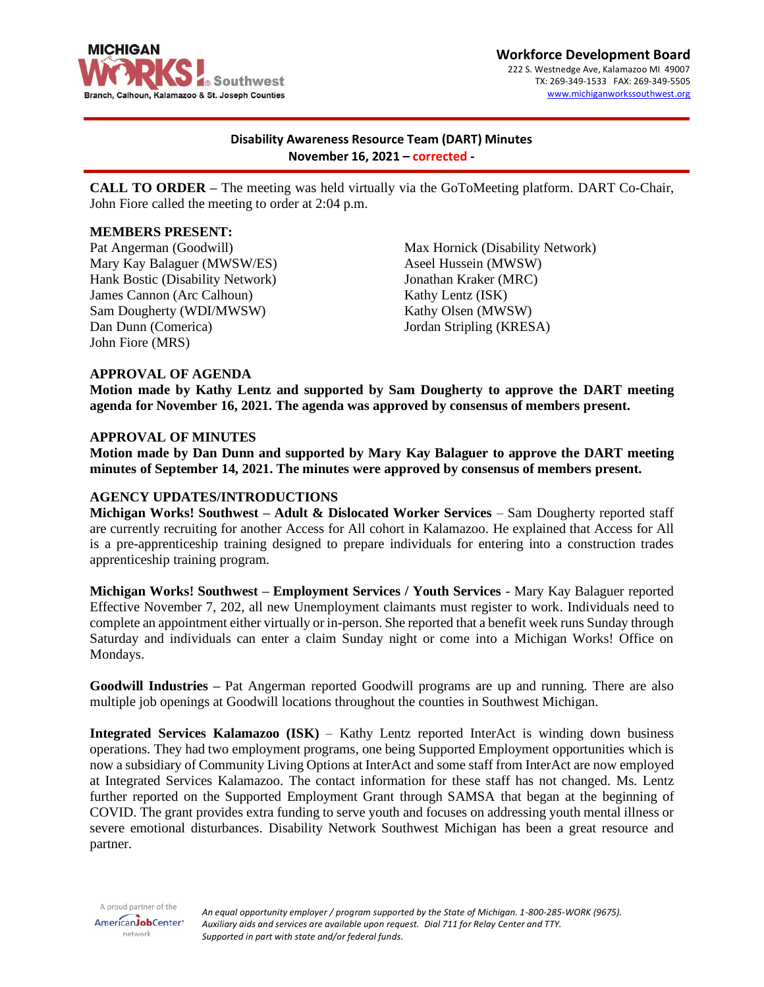

**Workforce Development Board** 222 S. Westnedge Ave, Kalamazoo MI 49007 TX: 269-349-1533 FAX: 269-349-5505 [www.michiganworkssouthwest.org](http://www.michiganworkssouthwest.org/)

# **Disability Awareness Resource Team (DART) Minutes November 16, 2021 – corrected -**

**CALL TO ORDER –** The meeting was held virtually via the GoToMeeting platform. DART Co-Chair, John Fiore called the meeting to order at 2:04 p.m.

## **MEMBERS PRESENT:**

Pat Angerman (Goodwill) Mary Kay Balaguer (MWSW/ES) Hank Bostic (Disability Network) James Cannon (Arc Calhoun) Sam Dougherty (WDI/MWSW) Dan Dunn (Comerica) John Fiore (MRS)

Max Hornick (Disability Network) Aseel Hussein (MWSW) Jonathan Kraker (MRC) Kathy Lentz (ISK) Kathy Olsen (MWSW) Jordan Stripling (KRESA)

#### **APPROVAL OF AGENDA**

**Motion made by Kathy Lentz and supported by Sam Dougherty to approve the DART meeting agenda for November 16, 2021. The agenda was approved by consensus of members present.**

#### **APPROVAL OF MINUTES**

**Motion made by Dan Dunn and supported by Mary Kay Balaguer to approve the DART meeting minutes of September 14, 2021. The minutes were approved by consensus of members present.**

### **AGENCY UPDATES/INTRODUCTIONS**

**Michigan Works! Southwest – Adult & Dislocated Worker Services** – Sam Dougherty reported staff are currently recruiting for another Access for All cohort in Kalamazoo. He explained that Access for All is a pre-apprenticeship training designed to prepare individuals for entering into a construction trades apprenticeship training program.

**Michigan Works! Southwest – Employment Services / Youth Services** - Mary Kay Balaguer reported Effective November 7, 202, all new Unemployment claimants must register to work. Individuals need to complete an appointment either virtually or in-person. She reported that a benefit week runs Sunday through Saturday and individuals can enter a claim Sunday night or come into a Michigan Works! Office on Mondays.

**Goodwill Industries –** Pat Angerman reported Goodwill programs are up and running. There are also multiple job openings at Goodwill locations throughout the counties in Southwest Michigan.

**Integrated Services Kalamazoo (ISK)** – Kathy Lentz reported InterAct is winding down business operations. They had two employment programs, one being Supported Employment opportunities which is now a subsidiary of Community Living Options at InterAct and some staff from InterAct are now employed at Integrated Services Kalamazoo. The contact information for these staff has not changed. Ms. Lentz further reported on the Supported Employment Grant through SAMSA that began at the beginning of COVID. The grant provides extra funding to serve youth and focuses on addressing youth mental illness or severe emotional disturbances. Disability Network Southwest Michigan has been a great resource and partner.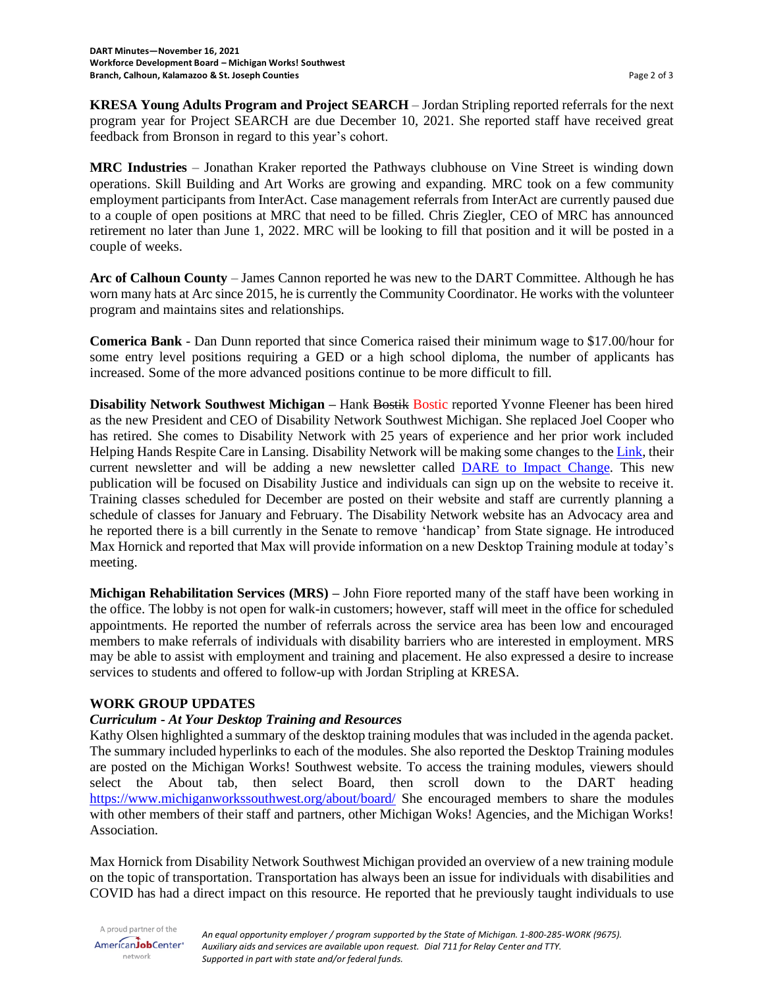**KRESA Young Adults Program and Project SEARCH** – Jordan Stripling reported referrals for the next program year for Project SEARCH are due December 10, 2021. She reported staff have received great feedback from Bronson in regard to this year's cohort.

**MRC Industries** – Jonathan Kraker reported the Pathways clubhouse on Vine Street is winding down operations. Skill Building and Art Works are growing and expanding. MRC took on a few community employment participants from InterAct. Case management referrals from InterAct are currently paused due to a couple of open positions at MRC that need to be filled. Chris Ziegler, CEO of MRC has announced retirement no later than June 1, 2022. MRC will be looking to fill that position and it will be posted in a couple of weeks.

**Arc of Calhoun County** – James Cannon reported he was new to the DART Committee. Although he has worn many hats at Arc since 2015, he is currently the Community Coordinator. He works with the volunteer program and maintains sites and relationships.

**Comerica Bank** - Dan Dunn reported that since Comerica raised their minimum wage to \$17.00/hour for some entry level positions requiring a GED or a high school diploma, the number of applicants has increased. Some of the more advanced positions continue to be more difficult to fill.

**Disability Network Southwest Michigan** – Hank Bostik Bostic reported Yvonne Fleener has been hired as the new President and CEO of Disability Network Southwest Michigan. She replaced Joel Cooper who has retired. She comes to Disability Network with 25 years of experience and her prior work included Helping Hands Respite Care in Lansing. Disability Network will be making some changes to th[e Link,](https://www.dnswm.org/resources/publications/the-link/) their current newsletter and will be adding a new newsletter called **DARE** to Impact Change. This new publication will be focused on Disability Justice and individuals can sign up on the website to receive it. Training classes scheduled for December are posted on their website and staff are currently planning a schedule of classes for January and February. The Disability Network website has an Advocacy area and he reported there is a bill currently in the Senate to remove 'handicap' from State signage. He introduced Max Hornick and reported that Max will provide information on a new Desktop Training module at today's meeting.

**Michigan Rehabilitation Services (MRS) –** John Fiore reported many of the staff have been working in the office. The lobby is not open for walk-in customers; however, staff will meet in the office for scheduled appointments. He reported the number of referrals across the service area has been low and encouraged members to make referrals of individuals with disability barriers who are interested in employment. MRS may be able to assist with employment and training and placement. He also expressed a desire to increase services to students and offered to follow-up with Jordan Stripling at KRESA.

## **WORK GROUP UPDATES**

## *Curriculum - At Your Desktop Training and Resources*

Kathy Olsen highlighted a summary of the desktop training modules that was included in the agenda packet. The summary included hyperlinks to each of the modules. She also reported the Desktop Training modules are posted on the Michigan Works! Southwest website. To access the training modules, viewers should select the About tab, then select Board, then scroll down to the DART heading <https://www.michiganworkssouthwest.org/about/board/> She encouraged members to share the modules with other members of their staff and partners, other Michigan Woks! Agencies, and the Michigan Works! Association.

Max Hornick from Disability Network Southwest Michigan provided an overview of a new training module on the topic of transportation. Transportation has always been an issue for individuals with disabilities and COVID has had a direct impact on this resource. He reported that he previously taught individuals to use